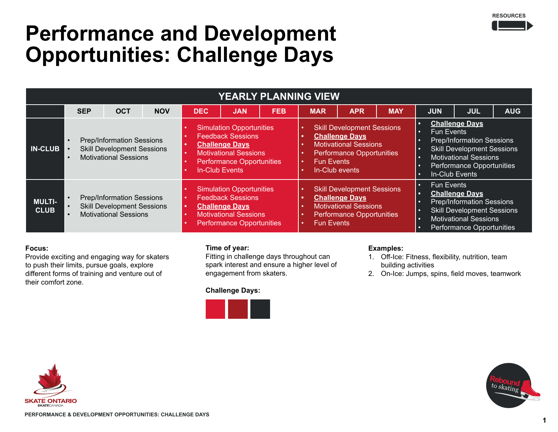### **RESOURCES**

### **Performance and Development Opportunities: Challenge Days**

| YEARLY PLANNING VIEW         |                                                                                                                                              |            |            |                                                                                                                                                                                                                   |            |            |                                                                                                                                                         |            |            |                                                                                                                                                                                                              |            |            |  |
|------------------------------|----------------------------------------------------------------------------------------------------------------------------------------------|------------|------------|-------------------------------------------------------------------------------------------------------------------------------------------------------------------------------------------------------------------|------------|------------|---------------------------------------------------------------------------------------------------------------------------------------------------------|------------|------------|--------------------------------------------------------------------------------------------------------------------------------------------------------------------------------------------------------------|------------|------------|--|
|                              | <b>SEP</b>                                                                                                                                   | <b>OCT</b> | <b>NOV</b> | <b>DEC</b>                                                                                                                                                                                                        | <b>JAN</b> | <b>FEB</b> | <b>MAR</b>                                                                                                                                              | <b>APR</b> | <b>MAY</b> | <b>JUN</b>                                                                                                                                                                                                   | <b>JUL</b> | <b>AUG</b> |  |
| <b>IN-CLUB</b>               | <b>Prep/Information Sessions</b><br>$\bullet$<br><b>Skill Development Sessions</b><br>$\bullet$<br><b>Motivational Sessions</b><br>$\bullet$ |            |            | <b>Simulation Opportunities</b><br><b>Feedback Sessions</b><br><b>Challenge Days</b><br>$\bullet$<br><b>Motivational Sessions</b><br>$\bullet$<br><b>Performance Opportunities</b><br>$\bullet$<br>In-Club Events |            |            | <b>Skill Development Sessions</b><br><b>Challenge Days</b><br>Motivational Sessions<br>Performance Opportunities<br><b>Fun Events</b><br>In-Club events |            |            | <b>Challenge Days</b><br>o<br><b>Fun Events</b><br>n<br><b>Prep/Information Sessions</b><br><b>Skill Development Sessions</b><br><b>Motivational Sessions</b><br>Performance Opportunities<br>In-Club Events |            |            |  |
| <b>MULTI-</b><br><b>CLUB</b> | <b>Prep/Information Sessions</b><br><b>Skill Development Sessions</b><br><b>Motivational Sessions</b>                                        |            |            | <b>Simulation Opportunities</b><br><b>Feedback Sessions</b><br><b>Challenge Days</b><br>$\bullet$<br><b>Motivational Sessions</b><br>$\bullet$<br><b>Performance Opportunities</b>                                |            |            | <b>Skill Development Sessions</b><br><b>Challenge Days</b><br><b>Motivational Sessions</b><br>Performance Opportunities<br><b>Fun Events</b>            |            |            | <b>Fun Events</b><br>n<br><b>Challenge Days</b><br><b>Prep/Information Sessions</b><br><b>Skill Development Sessions</b><br>o<br><b>Motivational Sessions</b><br>n<br><b>Performance Opportunities</b>       |            |            |  |

### **Focus:**

Provide exciting and engaging way for skaters to push their limits, pursue goals, explore different forms of training and venture out of their comfort zone.

### **Time of year:**

Fitting in challenge days throughout can spark interest and ensure a higher level of engagement from skaters.

### **Challenge Days:**



### **Examples:**

- 1. Off-Ice: Fitness, flexibility, nutrition, team building activities
- 2. On-Ice: Jumps, spins, field moves, teamwork



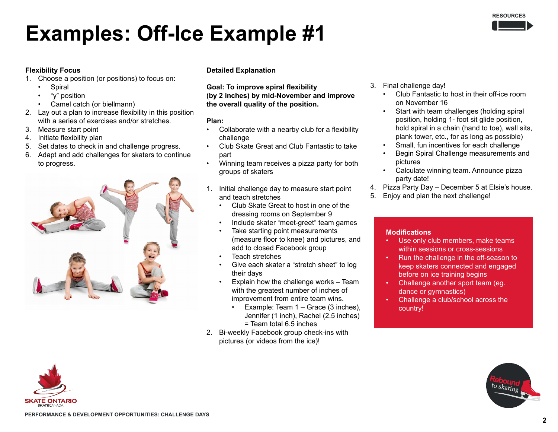

# **Examples: Off-Ice Example #1**

### **Flexibility Focus**

- 1. Choose a position (or positions) to focus on:
	- **Spiral**
	- "y" position
	- Camel catch (or biellmann)
- 2. Lay out a plan to increase flexibility in this position with a series of exercises and/or stretches.
- 3. Measure start point
- 4. Initiate flexibility plan
- 5. Set dates to check in and challenge progress.
- 6. Adapt and add challenges for skaters to continue to progress.



### **Detailed Explanation**

**Goal: To improve spiral flexibility (by 2 inches) by mid-November and improve the overall quality of the position.**

### **Plan:**

- Collaborate with a nearby club for a flexibility challenge
- Club Skate Great and Club Fantastic to take part
- Winning team receives a pizza party for both groups of skaters
- 1. Initial challenge day to measure start point and teach stretches
	- Club Skate Great to host in one of the dressing rooms on September 9
	- Include skater "meet-greet" team games
	- Take starting point measurements (measure floor to knee) and pictures, and add to closed Facebook group
	- Teach stretches
	- Give each skater a "stretch sheet" to log their days
	- Explain how the challenge works Team with the greatest number of inches of improvement from entire team wins.
		- Example: Team 1 Grace (3 inches), Jennifer (1 inch), Rachel (2.5 inches) = Team total 6.5 inches
- 2. Bi-weekly Facebook group check-ins with pictures (or videos from the ice)!
- 3. Final challenge day!
	- Club Fantastic to host in their off-ice room on November 16
	- Start with team challenges (holding spiral position, holding 1- foot sit glide position, hold spiral in a chain (hand to toe), wall sits, plank tower, etc., for as long as possible)
	- Small, fun incentives for each challenge
	- Begin Spiral Challenge measurements and pictures
	- Calculate winning team. Announce pizza party date!
- 4. Pizza Party Day December 5 at Elsie's house.
- 5. Enjoy and plan the next challenge!

- Use only club members, make teams within sessions or cross-sessions
- Run the challenge in the off-season to keep skaters connected and engaged before on ice training begins
- Challenge another sport team (eg. dance or gymnastics)
- Challenge a club/school across the country!



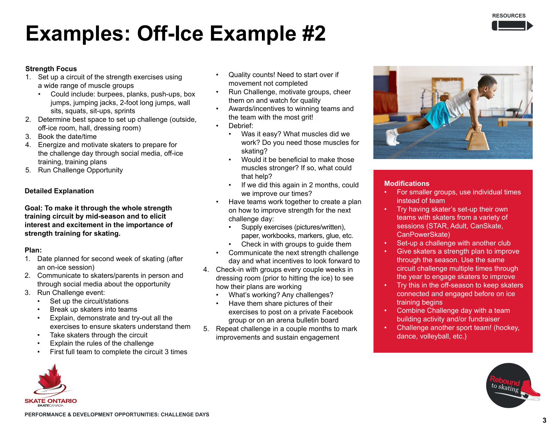# **Examples: Off-Ice Example #2**

### **Strength Focus**

- 1. Set up a circuit of the strength exercises using a wide range of muscle groups
	- Could include: burpees, planks, push-ups, box jumps, jumping jacks, 2-foot long jumps, wall sits, squats, sit-ups, sprints
- 2. Determine best space to set up challenge (outside, off-ice room, hall, dressing room)
- 3. Book the date/time
- 4. Energize and motivate skaters to prepare for the challenge day through social media, off-ice training, training plans
- 5. Run Challenge Opportunity

### **Detailed Explanation**

**Goal: To make it through the whole strength training circuit by mid-season and to elicit interest and excitement in the importance of strength training for skating.**

### **Plan:**

- 1. Date planned for second week of skating (after an on-ice session)
- 2. Communicate to skaters/parents in person and through social media about the opportunity
- 3. Run Challenge event:
	- Set up the circuit/stations
	- Break up skaters into teams
	- Explain, demonstrate and try-out all the exercises to ensure skaters understand them
	- Take skaters through the circuit
	- Explain the rules of the challenge
	- First full team to complete the circuit 3 times
- Quality counts! Need to start over if movement not completed
- Run Challenge, motivate groups, cheer them on and watch for quality
- Awards/incentives to winning teams and the team with the most grit!
- Debrief:
	- Was it easy? What muscles did we work? Do you need those muscles for skating?
	- Would it be beneficial to make those muscles stronger? If so, what could that help?
	- If we did this again in 2 months, could we improve our times?
- Have teams work together to create a plan on how to improve strength for the next challenge day:
	- Supply exercises (pictures/written), paper, workbooks, markers, glue, etc.
	- Check in with groups to guide them
- Communicate the next strength challenge day and what incentives to look forward to
- 4. Check-in with groups every couple weeks in dressing room (prior to hitting the ice) to see how their plans are working
	- What's working? Any challenges?
	- Have them share pictures of their exercises to post on a private Facebook group or on an arena bulletin board
- 5. Repeat challenge in a couple months to mark improvements and sustain engagement



- For smaller groups, use individual times instead of team
- Try having skater's set-up their own teams with skaters from a variety of sessions (STAR, Adult, CanSkate, CanPowerSkate)
- Set-up a challenge with another club
- Give skaters a strength plan to improve through the season. Use the same circuit challenge multiple times through the year to engage skaters to improve
- Try this in the off-season to keep skaters connected and engaged before on ice training begins
- Combine Challenge day with a team building activity and/or fundraiser
- Challenge another sport team! (hockey, dance, volleyball, etc.)



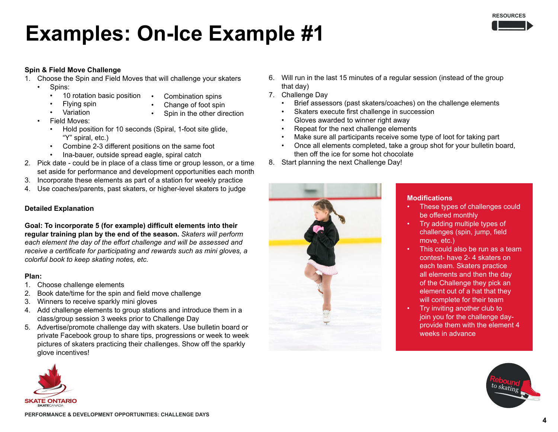

### **Examples: On-Ice Example #1**

### **Spin & Field Move Challenge**

- 1. Choose the Spin and Field Moves that will challenge your skaters
	- Spins:
		- 10 rotation basic position
- Combination spins

• Flying spin

• Change of foot spin

• Variation

Spin in the other direction

- Field Moves:
	- Hold position for 10 seconds (Spiral, 1-foot site glide, "Y" spiral, etc.)
	- Combine 2-3 different positions on the same foot
	- Ina-bauer, outside spread eagle, spiral catch
- 2. Pick date could be in place of a class time or group lesson, or a time set aside for performance and development opportunities each month
- 3. Incorporate these elements as part of a station for weekly practice
- 4. Use coaches/parents, past skaters, or higher-level skaters to judge

### **Detailed Explanation**

**Goal: To incorporate 5 (for example) difficult elements into their regular training plan by the end of the season.** *Skaters will perform each element the day of the effort challenge and will be assessed and receive a certificate for participating and rewards such as mini gloves, a colorful book to keep skating notes, etc.*

### **Plan:**

- 1. Choose challenge elements
- 2. Book date/time for the spin and field move challenge
- 3. Winners to receive sparkly mini gloves
- 4. Add challenge elements to group stations and introduce them in a class/group session 3 weeks prior to Challenge Day
- 5. Advertise/promote challenge day with skaters. Use bulletin board or private Facebook group to share tips, progressions or week to week pictures of skaters practicing their challenges. Show off the sparkly glove incentives!



- 6. Will run in the last 15 minutes of a regular session (instead of the group that day)
- 7. Challenge Day
	- Brief assessors (past skaters/coaches) on the challenge elements
	- Skaters execute first challenge in succession
	- Gloves awarded to winner right away
	- Repeat for the next challenge elements
	- Make sure all participants receive some type of loot for taking part
	- Once all elements completed, take a group shot for your bulletin board, then off the ice for some hot chocolate
- 8. Start planning the next Challenge Day!



- These types of challenges could be offered monthly
- Try adding multiple types of challenges (spin, jump, field move, etc.)
- This could also be run as a team contest- have 2- 4 skaters on each team. Skaters practice all elements and then the day of the Challenge they pick an element out of a hat that they will complete for their team
- Try inviting another club to join you for the challenge dayprovide them with the element 4 weeks in advance

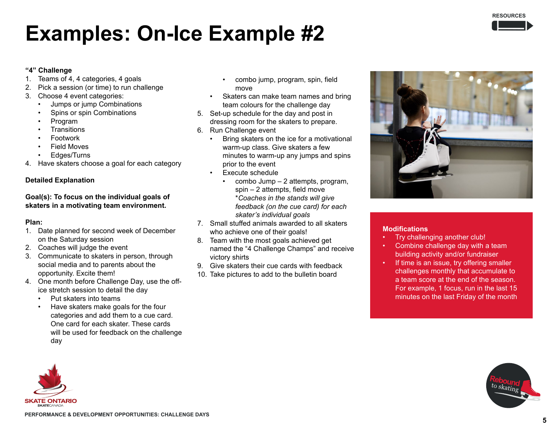

### **Examples: On-Ice Example #2**

#### **"4" Challenge**

- 1. Teams of 4, 4 categories, 4 goals
- 2. Pick a session (or time) to run challenge
- 3. Choose 4 event categories:
	- Jumps or jump Combinations
	- Spins or spin Combinations
	- Program
	- **Transitions**
	- Footwork
	- **Field Moves**
	- Edges/Turns
- 4. Have skaters choose a goal for each category

### **Detailed Explanation**

### **Goal(s): To focus on the individual goals of skaters in a motivating team environment.**

### **Plan:**

- 1. Date planned for second week of December on the Saturday session
- 2. Coaches will judge the event
- 3. Communicate to skaters in person, through social media and to parents about the opportunity. Excite them!
- 4. One month before Challenge Day, use the office stretch session to detail the day
	- Put skaters into teams
	- Have skaters make goals for the four categories and add them to a cue card. One card for each skater. These cards will be used for feedback on the challenge day
- combo jump, program, spin, field move
- Skaters can make team names and bring team colours for the challenge day
- 5. Set-up schedule for the day and post in dressing room for the skaters to prepare.
- 6. Run Challenge event
	- Bring skaters on the ice for a motivational warm-up class. Give skaters a few minutes to warm-up any jumps and spins prior to the event
	- Execute schedule
		- combo Jump 2 attempts, program, spin – 2 attempts, field move \**Coaches in the stands will give feedback (on the cue card) for each skater's individual goals*
- 7. Small stuffed animals awarded to all skaters who achieve one of their goals!
- 8. Team with the most goals achieved get named the "4 Challenge Champs" and receive victory shirts
- 9. Give skaters their cue cards with feedback
- 10. Take pictures to add to the bulletin board



- Try challenging another club!
- Combine challenge day with a team building activity and/or fundraiser
- If time is an issue, try offering smaller challenges monthly that accumulate to a team score at the end of the season. For example, 1 focus, run in the last 15 minutes on the last Friday of the month